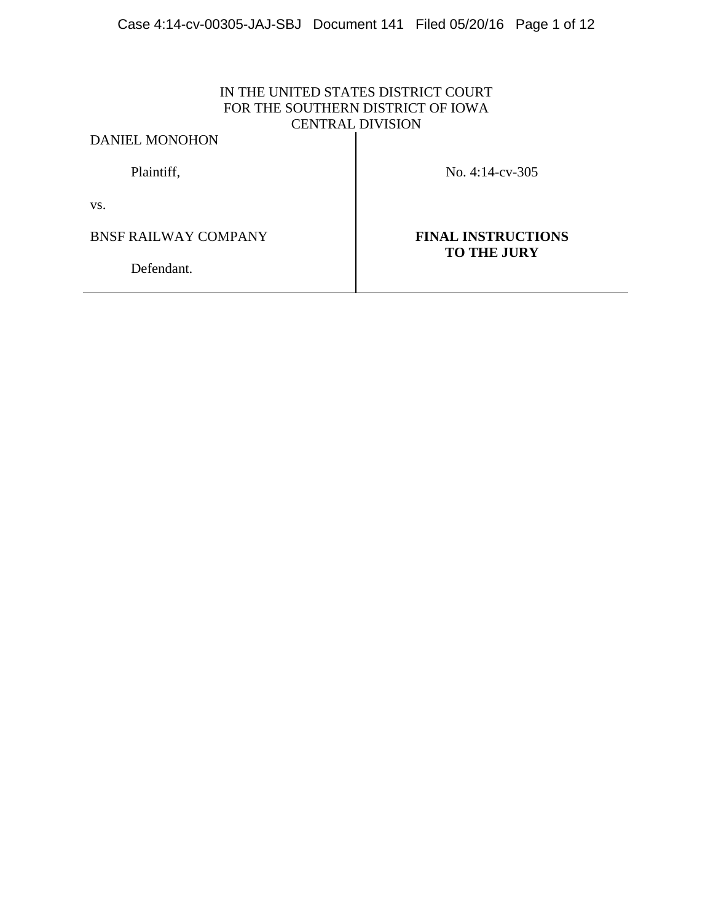# IN THE UNITED STATES DISTRICT COURT FOR THE SOUTHERN DISTRICT OF IOWA CENTRAL DIVISION

DANIEL MONOHON

Plaintiff, No. 4:14-cv-305

vs.

BNSF RAILWAY COMPANY **FINAL INSTRUCTIONS** 

**TO THE JURY**

Defendant.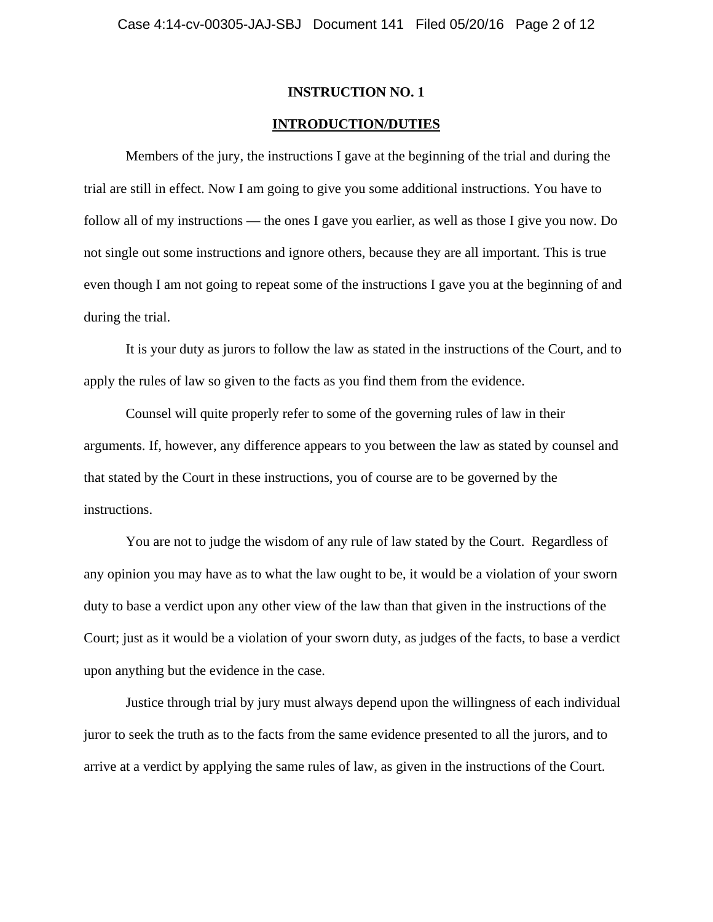### **INTRODUCTION/DUTIES**

 Members of the jury, the instructions I gave at the beginning of the trial and during the trial are still in effect. Now I am going to give you some additional instructions. You have to follow all of my instructions — the ones I gave you earlier, as well as those I give you now. Do not single out some instructions and ignore others, because they are all important. This is true even though I am not going to repeat some of the instructions I gave you at the beginning of and during the trial.

 It is your duty as jurors to follow the law as stated in the instructions of the Court, and to apply the rules of law so given to the facts as you find them from the evidence.

 Counsel will quite properly refer to some of the governing rules of law in their arguments. If, however, any difference appears to you between the law as stated by counsel and that stated by the Court in these instructions, you of course are to be governed by the instructions.

 You are not to judge the wisdom of any rule of law stated by the Court. Regardless of any opinion you may have as to what the law ought to be, it would be a violation of your sworn duty to base a verdict upon any other view of the law than that given in the instructions of the Court; just as it would be a violation of your sworn duty, as judges of the facts, to base a verdict upon anything but the evidence in the case.

 Justice through trial by jury must always depend upon the willingness of each individual juror to seek the truth as to the facts from the same evidence presented to all the jurors, and to arrive at a verdict by applying the same rules of law, as given in the instructions of the Court.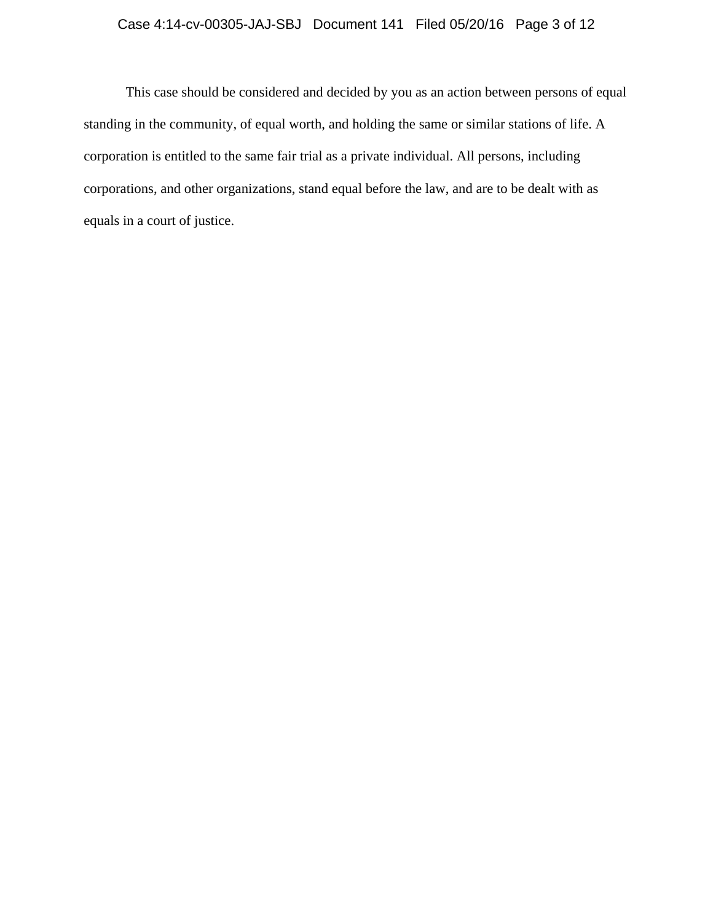# Case 4:14-cv-00305-JAJ-SBJ Document 141 Filed 05/20/16 Page 3 of 12

 This case should be considered and decided by you as an action between persons of equal standing in the community, of equal worth, and holding the same or similar stations of life. A corporation is entitled to the same fair trial as a private individual. All persons, including corporations, and other organizations, stand equal before the law, and are to be dealt with as equals in a court of justice.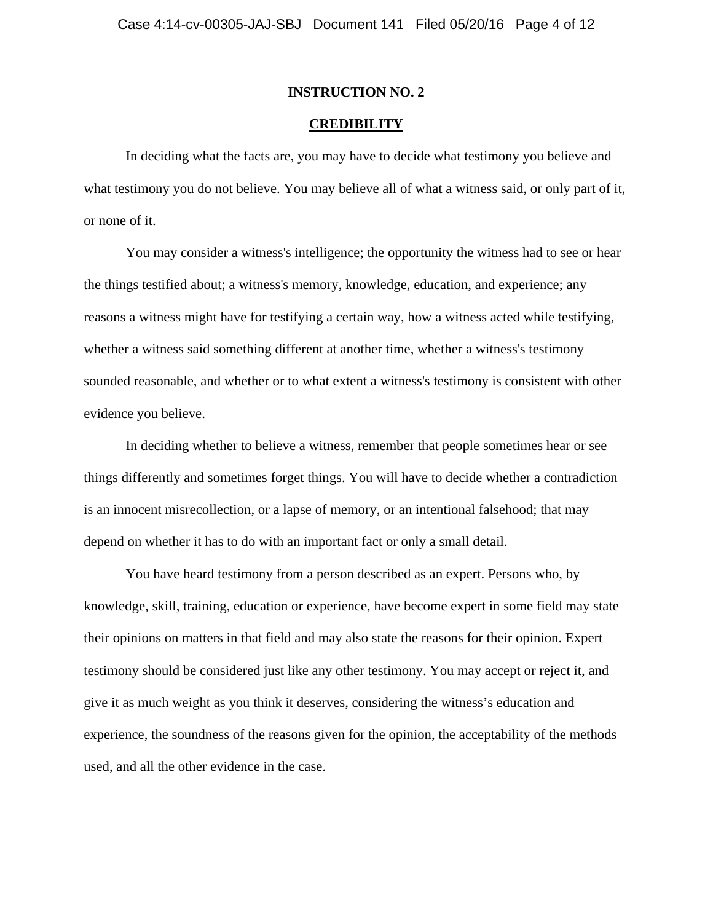### **CREDIBILITY**

In deciding what the facts are, you may have to decide what testimony you believe and what testimony you do not believe. You may believe all of what a witness said, or only part of it, or none of it.

You may consider a witness's intelligence; the opportunity the witness had to see or hear the things testified about; a witness's memory, knowledge, education, and experience; any reasons a witness might have for testifying a certain way, how a witness acted while testifying, whether a witness said something different at another time, whether a witness's testimony sounded reasonable, and whether or to what extent a witness's testimony is consistent with other evidence you believe.

In deciding whether to believe a witness, remember that people sometimes hear or see things differently and sometimes forget things. You will have to decide whether a contradiction is an innocent misrecollection, or a lapse of memory, or an intentional falsehood; that may depend on whether it has to do with an important fact or only a small detail.

 You have heard testimony from a person described as an expert. Persons who, by knowledge, skill, training, education or experience, have become expert in some field may state their opinions on matters in that field and may also state the reasons for their opinion. Expert testimony should be considered just like any other testimony. You may accept or reject it, and give it as much weight as you think it deserves, considering the witness's education and experience, the soundness of the reasons given for the opinion, the acceptability of the methods used, and all the other evidence in the case.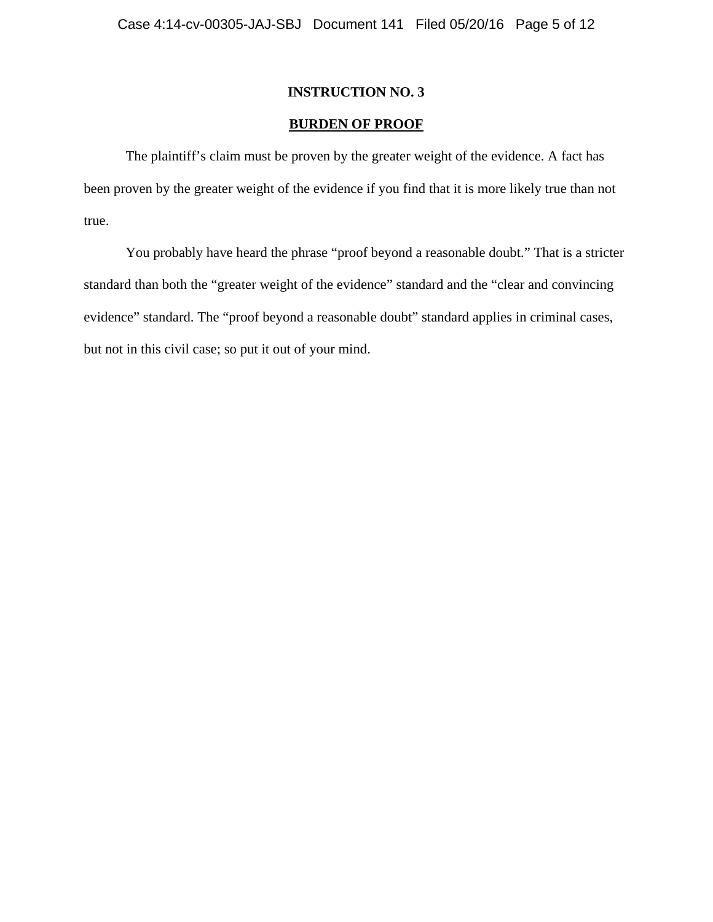# **BURDEN OF PROOF**

 The plaintiff's claim must be proven by the greater weight of the evidence. A fact has been proven by the greater weight of the evidence if you find that it is more likely true than not true.

You probably have heard the phrase "proof beyond a reasonable doubt." That is a stricter standard than both the "greater weight of the evidence" standard and the "clear and convincing evidence" standard. The "proof beyond a reasonable doubt" standard applies in criminal cases, but not in this civil case; so put it out of your mind.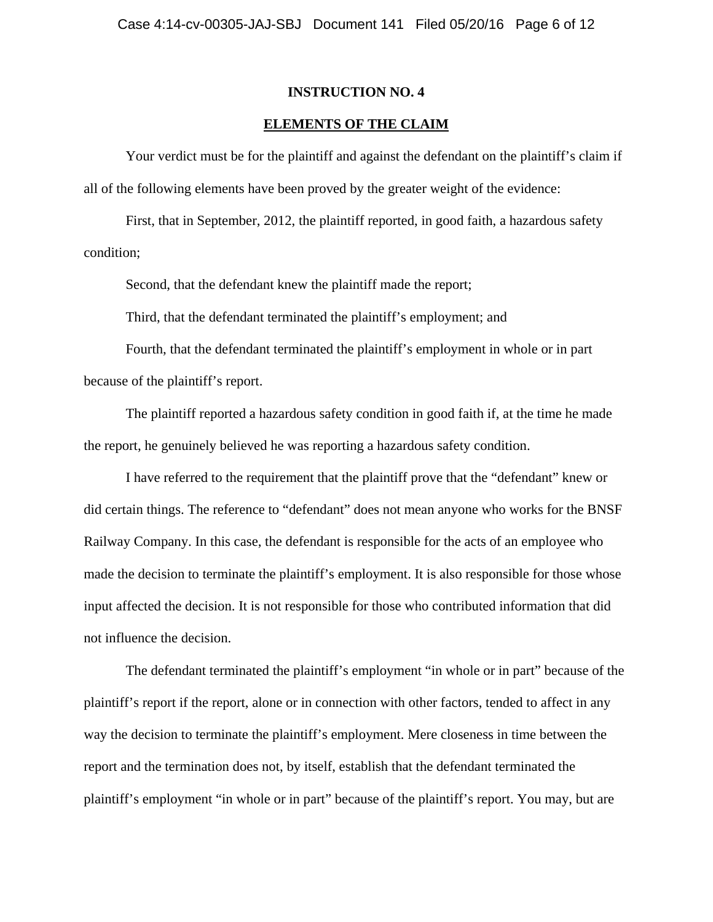### **ELEMENTS OF THE CLAIM**

 Your verdict must be for the plaintiff and against the defendant on the plaintiff's claim if all of the following elements have been proved by the greater weight of the evidence:

 First, that in September, 2012, the plaintiff reported, in good faith, a hazardous safety condition;

Second, that the defendant knew the plaintiff made the report;

Third, that the defendant terminated the plaintiff's employment; and

 Fourth, that the defendant terminated the plaintiff's employment in whole or in part because of the plaintiff's report.

 The plaintiff reported a hazardous safety condition in good faith if, at the time he made the report, he genuinely believed he was reporting a hazardous safety condition.

 I have referred to the requirement that the plaintiff prove that the "defendant" knew or did certain things. The reference to "defendant" does not mean anyone who works for the BNSF Railway Company. In this case, the defendant is responsible for the acts of an employee who made the decision to terminate the plaintiff's employment. It is also responsible for those whose input affected the decision. It is not responsible for those who contributed information that did not influence the decision.

 The defendant terminated the plaintiff's employment "in whole or in part" because of the plaintiff's report if the report, alone or in connection with other factors, tended to affect in any way the decision to terminate the plaintiff's employment. Mere closeness in time between the report and the termination does not, by itself, establish that the defendant terminated the plaintiff's employment "in whole or in part" because of the plaintiff's report. You may, but are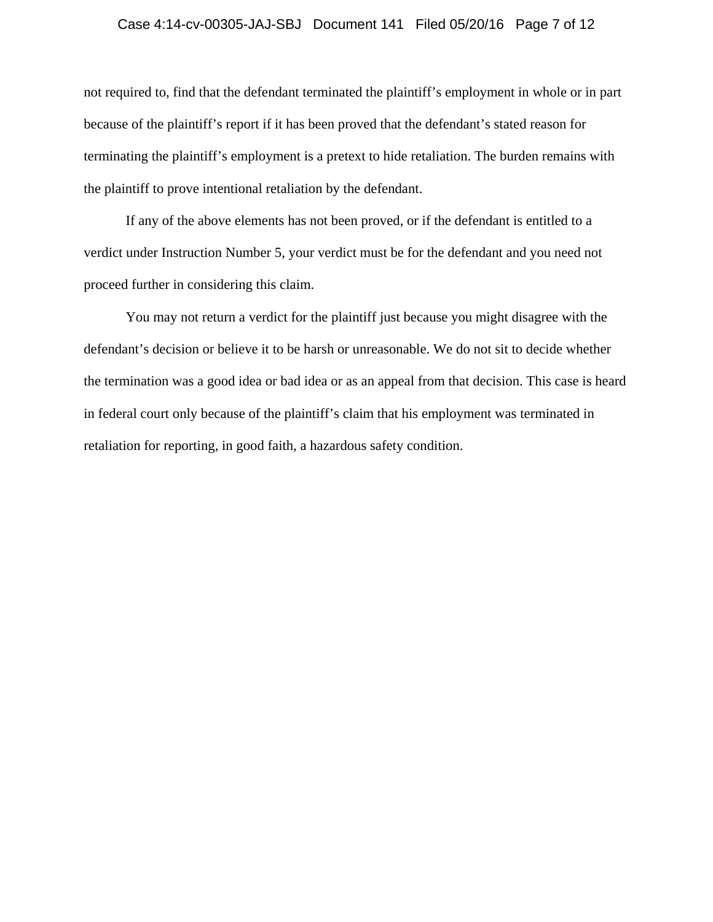#### Case 4:14-cv-00305-JAJ-SBJ Document 141 Filed 05/20/16 Page 7 of 12

not required to, find that the defendant terminated the plaintiff's employment in whole or in part because of the plaintiff's report if it has been proved that the defendant's stated reason for terminating the plaintiff's employment is a pretext to hide retaliation. The burden remains with the plaintiff to prove intentional retaliation by the defendant.

If any of the above elements has not been proved, or if the defendant is entitled to a verdict under Instruction Number 5, your verdict must be for the defendant and you need not proceed further in considering this claim.

You may not return a verdict for the plaintiff just because you might disagree with the defendant's decision or believe it to be harsh or unreasonable. We do not sit to decide whether the termination was a good idea or bad idea or as an appeal from that decision. This case is heard in federal court only because of the plaintiff's claim that his employment was terminated in retaliation for reporting, in good faith, a hazardous safety condition.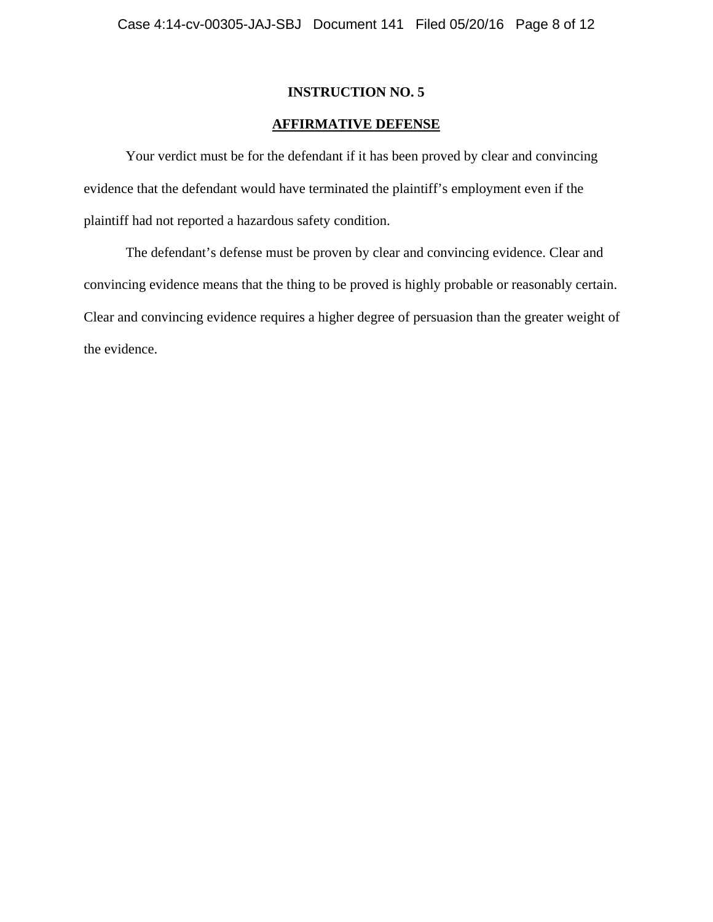# **AFFIRMATIVE DEFENSE**

 Your verdict must be for the defendant if it has been proved by clear and convincing evidence that the defendant would have terminated the plaintiff's employment even if the plaintiff had not reported a hazardous safety condition.

 The defendant's defense must be proven by clear and convincing evidence. Clear and convincing evidence means that the thing to be proved is highly probable or reasonably certain. Clear and convincing evidence requires a higher degree of persuasion than the greater weight of the evidence.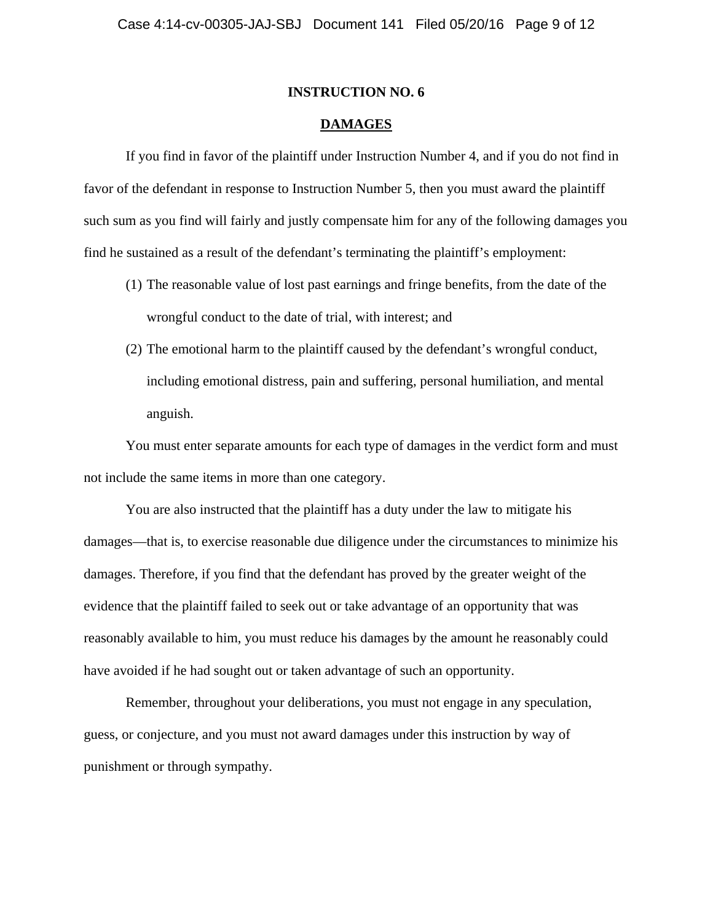## **DAMAGES**

If you find in favor of the plaintiff under Instruction Number 4, and if you do not find in favor of the defendant in response to Instruction Number 5, then you must award the plaintiff such sum as you find will fairly and justly compensate him for any of the following damages you find he sustained as a result of the defendant's terminating the plaintiff's employment:

- (1) The reasonable value of lost past earnings and fringe benefits, from the date of the wrongful conduct to the date of trial, with interest; and
- (2) The emotional harm to the plaintiff caused by the defendant's wrongful conduct, including emotional distress, pain and suffering, personal humiliation, and mental anguish.

You must enter separate amounts for each type of damages in the verdict form and must not include the same items in more than one category.

You are also instructed that the plaintiff has a duty under the law to mitigate his damages—that is, to exercise reasonable due diligence under the circumstances to minimize his damages. Therefore, if you find that the defendant has proved by the greater weight of the evidence that the plaintiff failed to seek out or take advantage of an opportunity that was reasonably available to him, you must reduce his damages by the amount he reasonably could have avoided if he had sought out or taken advantage of such an opportunity.

Remember, throughout your deliberations, you must not engage in any speculation, guess, or conjecture, and you must not award damages under this instruction by way of punishment or through sympathy.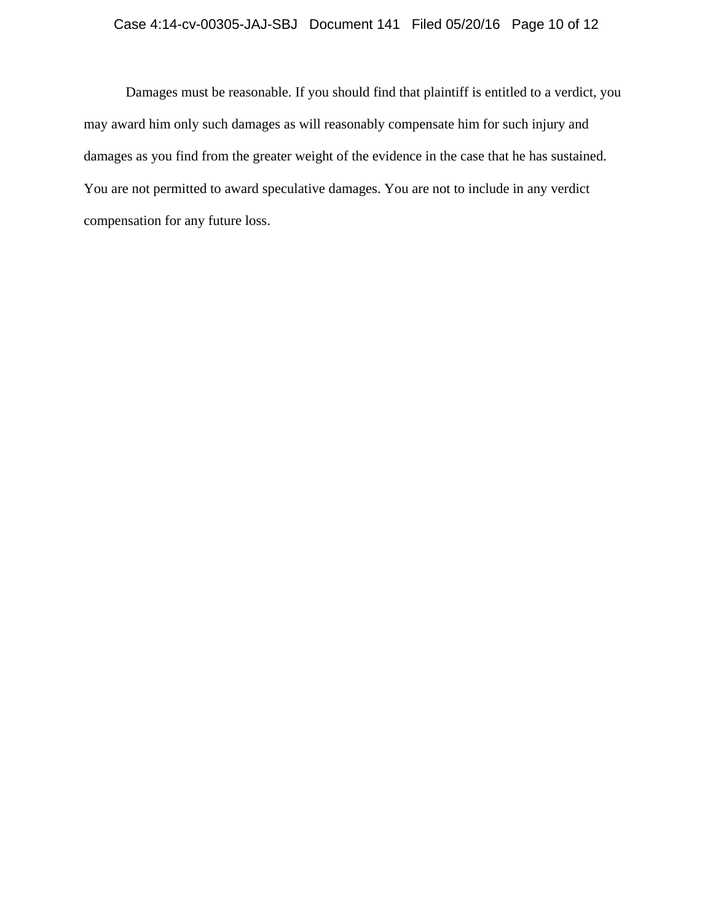# Case 4:14-cv-00305-JAJ-SBJ Document 141 Filed 05/20/16 Page 10 of 12

Damages must be reasonable. If you should find that plaintiff is entitled to a verdict, you may award him only such damages as will reasonably compensate him for such injury and damages as you find from the greater weight of the evidence in the case that he has sustained. You are not permitted to award speculative damages. You are not to include in any verdict compensation for any future loss.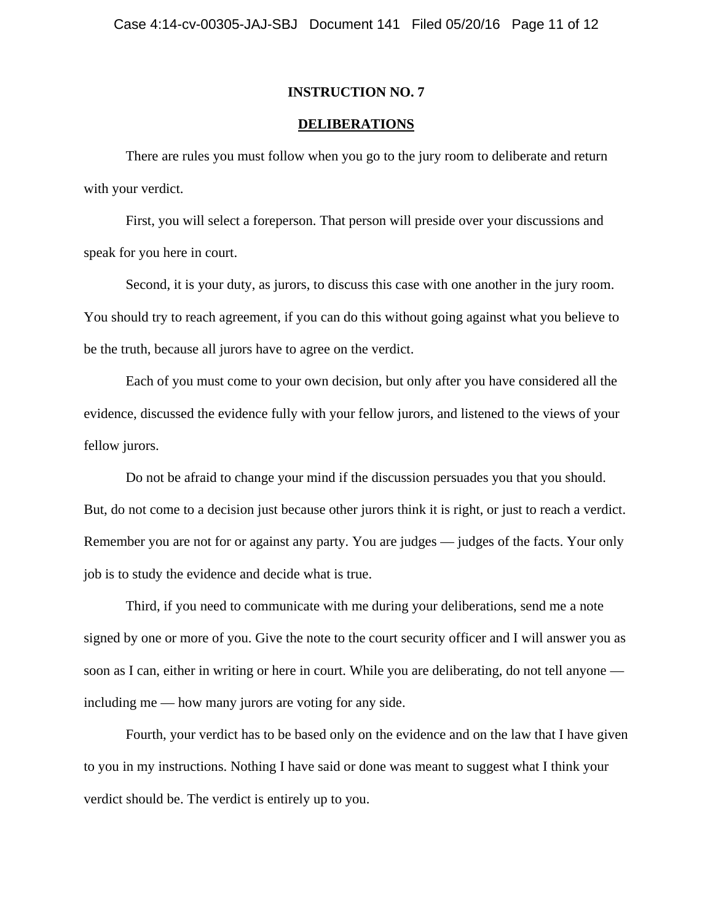### **DELIBERATIONS**

There are rules you must follow when you go to the jury room to deliberate and return with your verdict.

First, you will select a foreperson. That person will preside over your discussions and speak for you here in court.

Second, it is your duty, as jurors, to discuss this case with one another in the jury room. You should try to reach agreement, if you can do this without going against what you believe to be the truth, because all jurors have to agree on the verdict.

Each of you must come to your own decision, but only after you have considered all the evidence, discussed the evidence fully with your fellow jurors, and listened to the views of your fellow jurors.

Do not be afraid to change your mind if the discussion persuades you that you should. But, do not come to a decision just because other jurors think it is right, or just to reach a verdict. Remember you are not for or against any party. You are judges — judges of the facts. Your only job is to study the evidence and decide what is true.

Third, if you need to communicate with me during your deliberations, send me a note signed by one or more of you. Give the note to the court security officer and I will answer you as soon as I can, either in writing or here in court. While you are deliberating, do not tell anyone including me — how many jurors are voting for any side.

Fourth, your verdict has to be based only on the evidence and on the law that I have given to you in my instructions. Nothing I have said or done was meant to suggest what I think your verdict should be. The verdict is entirely up to you.